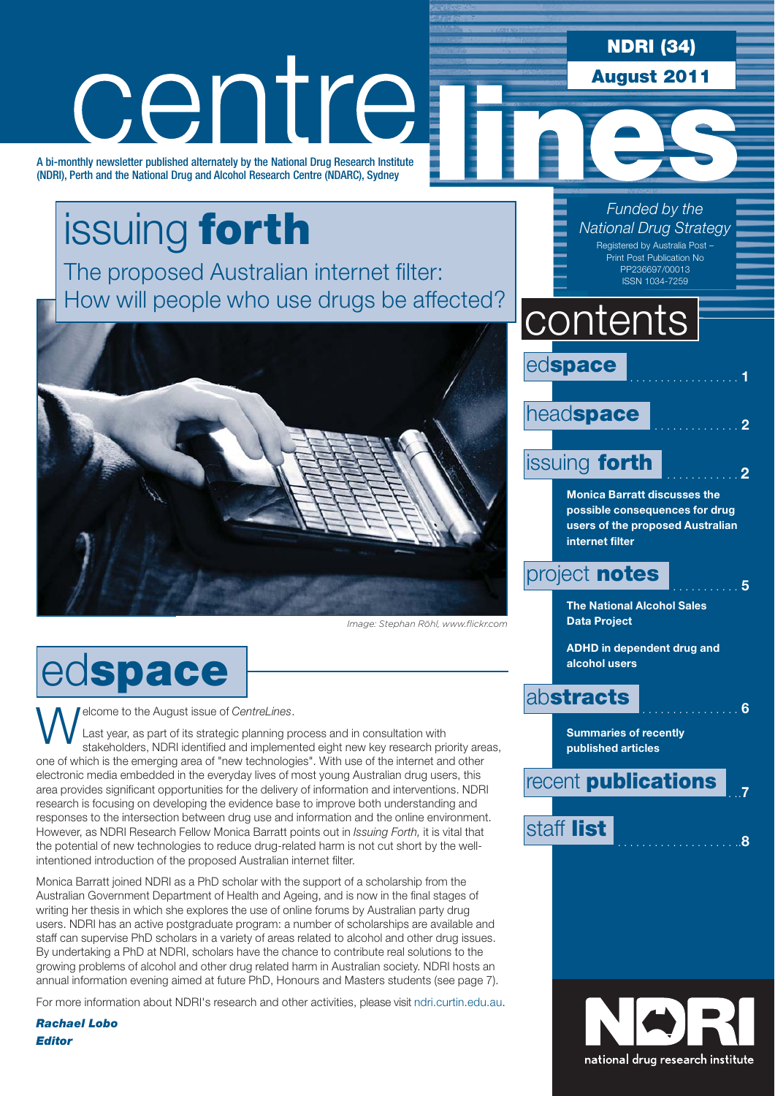**NDRI (34)**

**August 2011**

*Funded by the National Drug Strategy* Registered by Australia Post –

# centre

A bi-monthly newsletter published alternately by the National Drug Research Institute (NDRI), Perth and the National Drug and Alcohol Research Centre (NDARC), Sydney

### issuing **forth** The proposed Australian internet filter: How will people who use drugs be affected?



Image: Stephan Röhl www.flickrcom *Image: Stephan Röhl, www.flickr.com*

ed**space**

**Welcome to the August issue of CentreLines.**<br>Last year, as part of its strategic planning pretakeholders, NDRI identified and implement

Last year, as part of its strategic planning process and in consultation with stakeholders, NDRI identified and implemented eight new key research priority areas, one of which is the emerging area of "new technologies". With use of the internet and other electronic media embedded in the everyday lives of most young Australian drug users, this area provides significant opportunities for the delivery of information and interventions. NDRI research is focusing on developing the evidence base to improve both understanding and responses to the intersection between drug use and information and the online environment. However, as NDRI Research Fellow Monica Barratt points out in *Issuing Forth,* it is vital that the potential of new technologies to reduce drug-related harm is not cut short by the wellintentioned introduction of the proposed Australian internet filter.

Monica Barratt joined NDRI as a PhD scholar with the support of a scholarship from the Australian Government Department of Health and Ageing, and is now in the final stages of writing her thesis in which she explores the use of online forums by Australian party drug users. NDRI has an active postgraduate program: a number of scholarships are available and staff can supervise PhD scholars in a variety of areas related to alcohol and other drug issues. By undertaking a PhD at NDRI, scholars have the chance to contribute real solutions to the growing problems of alcohol and other drug related harm in Australian society. NDRI hosts an annual information evening aimed at future PhD, Honours and Masters students (see page 7).

For more information about NDRI's research and other activities, please visit [ndri.curtin.edu.au.](http://ndri.curtin.edu.au)

*Rachael Lobo Editor*

### ed**space** .................. **<sup>1</sup>** head**space issuing forth Monica Barratt discusses the possible consequences for drug users of the proposed Australian internet filter** project **notes The National Alcohol Sales Data Project ADHD in dependent drug and alcohol users** ab**stracts** ................ **<sup>6</sup> Summaries of recently published articles contents** Print Post Publication No PP236697/00013 ISSN 1034-7259



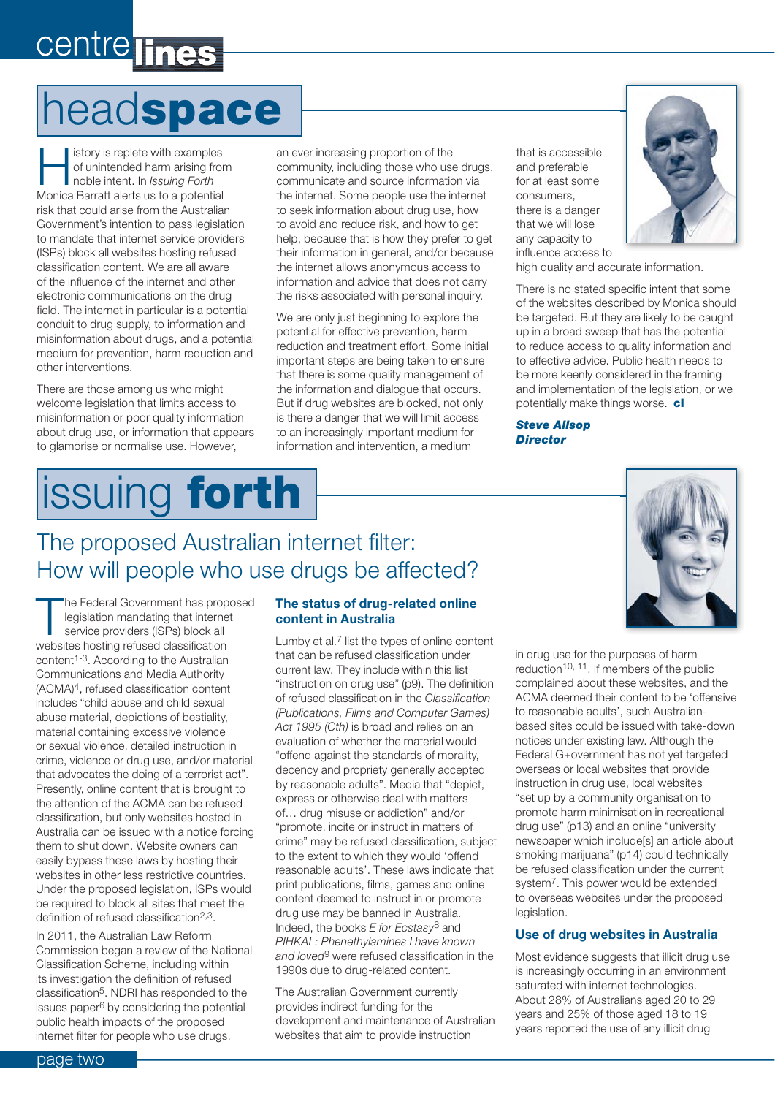### centre lines

### head**space**

story is replete with examples<br>of unintended harm arising from<br>noble intent. In *Issuing Forth*<br>Monica Barratt alors us to a potential of unintended harm arising from noble intent. In *Issuing Forth*  Monica Barratt alerts us to a potential risk that could arise from the Australian Government's intention to pass legislation to mandate that internet service providers (ISPs) block all websites hosting refused classification content. We are all aware of the influence of the internet and other electronic communications on the drug field. The internet in particular is a potential conduit to drug supply, to information and misinformation about drugs, and a potential medium for prevention, harm reduction and other interventions.

There are those among us who might welcome legislation that limits access to misinformation or poor quality information about drug use, or information that appears to glamorise or normalise use. However,

### issuing **forth**

The proposed Australian internet filter: How will people who use drugs be affected?

an ever increasing proportion of the community, including those who use drugs, communicate and source information via the internet. Some people use the internet to seek information about drug use, how to avoid and reduce risk, and how to get help, because that is how they prefer to get their information in general, and/or because the internet allows anonymous access to information and advice that does not carry the risks associated with personal inquiry.

We are only just beginning to explore the potential for effective prevention, harm reduction and treatment effort. Some initial important steps are being taken to ensure that there is some quality management of the information and dialogue that occurs. But if drug websites are blocked, not only is there a danger that we will limit access to an increasingly important medium for information and intervention, a medium

that is accessible and preferable for at least some consumers, there is a danger that we will lose any capacity to influence access to



high quality and accurate information.

There is no stated specific intent that some of the websites described by Monica should be targeted. But they are likely to be caught up in a broad sweep that has the potential to reduce access to quality information and to effective advice. Public health needs to be more keenly considered in the framing and implementation of the legislation, or we potentially make things worse. **cl**

*Steve Allsop Director*

#### **The Federal Government has proposed** legislation mandating that internet service providers (ISPs) block all websites hosting refused classification content<sup>1-3</sup>. According to the Australian Communications and Media Authority (ACMA)4, refused classification content includes "child abuse and child sexual abuse material, depictions of bestiality, material containing excessive violence or sexual violence, detailed instruction in crime, violence or drug use, and/or material that advocates the doing of a terrorist act". Presently, online content that is brought to the attention of the ACMA can be refused classification, but only websites hosted in Australia can be issued with a notice forcing them to shut down. Website owners can easily bypass these laws by hosting their websites in other less restrictive countries. Under the proposed legislation, ISPs would

definition of refused classification2,3. In 2011, the Australian Law Reform Commission began a review of the National Classification Scheme, including within its investigation the definition of refused classification5. NDRI has responded to the issues paper6 by considering the potential public health impacts of the proposed internet filter for people who use drugs.

be required to block all sites that meet the

#### **The status of drug-related online content in Australia**

Lumby et al.7 list the types of online content that can be refused classification under current law. They include within this list "instruction on drug use" (p9). The definition of refused classification in the *Classification (Publications, Films and Computer Games) Act 1995 (Cth)* is broad and relies on an evaluation of whether the material would "offend against the standards of morality, decency and propriety generally accepted by reasonable adults". Media that "depict, express or otherwise deal with matters of… drug misuse or addiction" and/or "promote, incite or instruct in matters of crime" may be refused classification, subject to the extent to which they would 'offend reasonable adults'. These laws indicate that print publications, films, games and online content deemed to instruct in or promote drug use may be banned in Australia. Indeed, the books *E for Ecstasy*8 and *PIHKAL: Phenethylamines I have known and loved*9 were refused classification in the 1990s due to drug-related content.

The Australian Government currently provides indirect funding for the development and maintenance of Australian websites that aim to provide instruction

in drug use for the purposes of harm reduction10, 11. If members of the public complained about these websites, and the ACMA deemed their content to be 'offensive to reasonable adults', such Australianbased sites could be issued with take-down notices under existing law. Although the Federal G+overnment has not yet targeted overseas or local websites that provide instruction in drug use, local websites "set up by a community organisation to promote harm minimisation in recreational drug use" (p13) and an online "university newspaper which include[s] an article about smoking marijuana" (p14) could technically be refused classification under the current system7. This power would be extended to overseas websites under the proposed legislation.

#### **Use of drug websites in Australia**

Most evidence suggests that illicit drug use is increasingly occurring in an environment saturated with internet technologies. About 28% of Australians aged 20 to 29 years and 25% of those aged 18 to 19 years reported the use of any illicit drug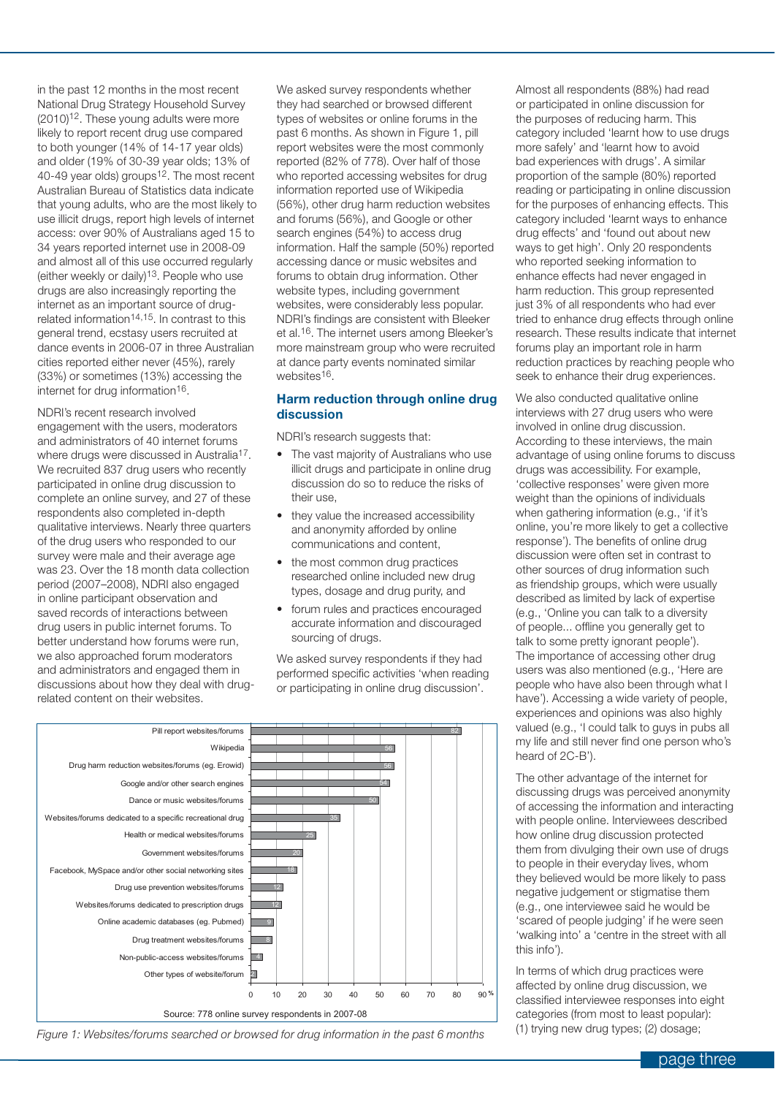in the past 12 months in the most recent National Drug Strategy Household Survey  $(2010)^{12}$ . These young adults were more likely to report recent drug use compared to both younger (14% of 14-17 year olds) and older (19% of 30-39 year olds; 13% of 40-49 year olds) groups<sup>12</sup>. The most recent Australian Bureau of Statistics data indicate that young adults, who are the most likely to use illicit drugs, report high levels of internet access: over 90% of Australians aged 15 to 34 years reported internet use in 2008-09 and almost all of this use occurred regularly (either weekly or daily)13. People who use drugs are also increasingly reporting the internet as an important source of drugrelated information14,15. In contrast to this general trend, ecstasy users recruited at dance events in 2006-07 in three Australian cities reported either never (45%), rarely (33%) or sometimes (13%) accessing the internet for drug information<sup>16</sup>.

NDRI's recent research involved engagement with the users, moderators and administrators of 40 internet forums where drugs were discussed in Australia<sup>17</sup>. We recruited 837 drug users who recently participated in online drug discussion to complete an online survey, and 27 of these respondents also completed in-depth qualitative interviews. Nearly three quarters of the drug users who responded to our survey were male and their average age was 23. Over the 18 month data collection period (2007–2008), NDRI also engaged in online participant observation and saved records of interactions between drug users in public internet forums. To better understand how forums were run, we also approached forum moderators and administrators and engaged them in discussions about how they deal with drugrelated content on their websites.

We asked survey respondents whether they had searched or browsed different types of websites or online forums in the past 6 months. As shown in Figure 1, pill report websites were the most commonly reported (82% of 778). Over half of those who reported accessing websites for drug information reported use of Wikipedia (56%), other drug harm reduction websites and forums (56%), and Google or other search engines (54%) to access drug information. Half the sample (50%) reported accessing dance or music websites and forums to obtain drug information. Other website types, including government websites, were considerably less popular. NDRI's findings are consistent with Bleeker et al.16. The internet users among Bleeker's more mainstream group who were recruited at dance party events nominated similar websites<sup>16</sup>.

#### **Harm reduction through online drug discussion**

NDRI's research suggests that:

- The vast majority of Australians who use illicit drugs and participate in online drug discussion do so to reduce the risks of their use,
- they value the increased accessibility and anonymity afforded by online communications and content,
- the most common drug practices researched online included new drug types, dosage and drug purity, and
- forum rules and practices encouraged accurate information and discouraged sourcing of drugs.

We asked survey respondents if they had performed specific activities 'when reading or participating in online drug discussion'.



*Figure 1: Websites/forums searched or browsed for drug information in the past 6 months*

Almost all respondents (88%) had read or participated in online discussion for the purposes of reducing harm. This category included 'learnt how to use drugs more safely' and 'learnt how to avoid bad experiences with drugs'. A similar proportion of the sample (80%) reported reading or participating in online discussion for the purposes of enhancing effects. This category included 'learnt ways to enhance drug effects' and 'found out about new ways to get high'. Only 20 respondents who reported seeking information to enhance effects had never engaged in harm reduction. This group represented just 3% of all respondents who had ever tried to enhance drug effects through online research. These results indicate that internet forums play an important role in harm reduction practices by reaching people who seek to enhance their drug experiences.

We also conducted qualitative online interviews with 27 drug users who were involved in online drug discussion. According to these interviews, the main advantage of using online forums to discuss drugs was accessibility. For example, 'collective responses' were given more weight than the opinions of individuals when gathering information (e.g., 'if it's online, you're more likely to get a collective response'). The benefits of online drug discussion were often set in contrast to other sources of drug information such as friendship groups, which were usually described as limited by lack of expertise (e.g., 'Online you can talk to a diversity of people... offline you generally get to talk to some pretty ignorant people'). The importance of accessing other drug users was also mentioned (e.g., 'Here are people who have also been through what I have'). Accessing a wide variety of people, experiences and opinions was also highly valued (e.g., 'I could talk to guys in pubs all my life and still never find one person who's heard of 2C-B').

The other advantage of the internet for discussing drugs was perceived anonymity of accessing the information and interacting with people online. Interviewees described how online drug discussion protected them from divulging their own use of drugs to people in their everyday lives, whom they believed would be more likely to pass negative judgement or stigmatise them (e.g., one interviewee said he would be 'scared of people judging' if he were seen 'walking into' a 'centre in the street with all this info').

In terms of which drug practices were affected by online drug discussion, we classified interviewee responses into eight categories (from most to least popular): (1) trying new drug types; (2) dosage;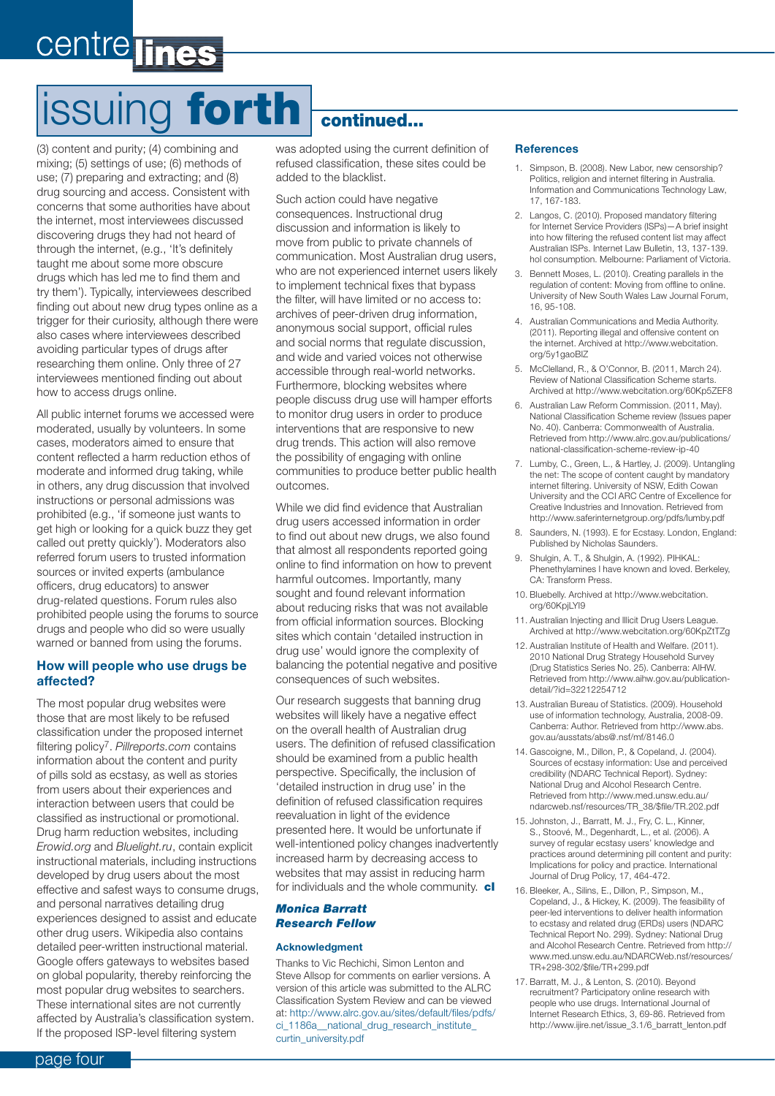### centre lines

# issuing **forth continued...**

(3) content and purity; (4) combining and mixing; (5) settings of use; (6) methods of use; (7) preparing and extracting; and (8) drug sourcing and access. Consistent with concerns that some authorities have about the internet, most interviewees discussed discovering drugs they had not heard of through the internet, (e.g., 'It's definitely taught me about some more obscure drugs which has led me to find them and try them'). Typically, interviewees described finding out about new drug types online as a trigger for their curiosity, although there were also cases where interviewees described avoiding particular types of drugs after researching them online. Only three of 27 interviewees mentioned finding out about how to access drugs online.

All public internet forums we accessed were moderated, usually by volunteers. In some cases, moderators aimed to ensure that content reflected a harm reduction ethos of moderate and informed drug taking, while in others, any drug discussion that involved instructions or personal admissions was prohibited (e.g., 'if someone just wants to get high or looking for a quick buzz they get called out pretty quickly'). Moderators also referred forum users to trusted information sources or invited experts (ambulance officers, drug educators) to answer drug-related questions. Forum rules also prohibited people using the forums to source drugs and people who did so were usually warned or banned from using the forums.

#### **How will people who use drugs be affected?**

The most popular drug websites were those that are most likely to be refused classification under the proposed internet filtering policy7. *Pillreports.com* contains information about the content and purity of pills sold as ecstasy, as well as stories from users about their experiences and interaction between users that could be classified as instructional or promotional. Drug harm reduction websites, including *Erowid.org* and *Bluelight.ru*, contain explicit instructional materials, including instructions developed by drug users about the most effective and safest ways to consume drugs, and personal narratives detailing drug experiences designed to assist and educate other drug users. Wikipedia also contains detailed peer-written instructional material. Google offers gateways to websites based on global popularity, thereby reinforcing the most popular drug websites to searchers. These international sites are not currently affected by Australia's classification system. If the proposed ISP-level filtering system

was adopted using the current definition of refused classification, these sites could be added to the blacklist.

Such action could have negative consequences. Instructional drug discussion and information is likely to move from public to private channels of communication. Most Australian drug users, who are not experienced internet users likely to implement technical fixes that bypass the filter, will have limited or no access to: archives of peer-driven drug information, anonymous social support, official rules and social norms that regulate discussion, and wide and varied voices not otherwise accessible through real-world networks. Furthermore, blocking websites where people discuss drug use will hamper efforts to monitor drug users in order to produce interventions that are responsive to new drug trends. This action will also remove the possibility of engaging with online communities to produce better public health outcomes.

While we did find evidence that Australian drug users accessed information in order to find out about new drugs, we also found that almost all respondents reported going online to find information on how to prevent harmful outcomes. Importantly, many sought and found relevant information about reducing risks that was not available from official information sources. Blocking sites which contain 'detailed instruction in drug use' would ignore the complexity of balancing the potential negative and positive consequences of such websites.

Our research suggests that banning drug websites will likely have a negative effect on the overall health of Australian drug users. The definition of refused classification should be examined from a public health perspective. Specifically, the inclusion of 'detailed instruction in drug use' in the definition of refused classification requires reevaluation in light of the evidence presented here. It would be unfortunate if well-intentioned policy changes inadvertently increased harm by decreasing access to websites that may assist in reducing harm for individuals and the whole community. **cl**

#### *Monica Barratt Research Fellow*

#### **Acknowledgment**

Thanks to Vic Rechichi, Simon Lenton and Steve Allsop for comments on earlier versions. A version of this article was submitted to the ALRC Classification System Review and can be viewed [at: http://www.alrc.gov.au/sites/default/files/pdfs/](http://www.alrc.gov.au/sites/default/files/pdfs/ci_1186a__national_drug_research_institute_curtin_university.pdf) ci\_1186a\_\_national\_drug\_research\_institute\_ curtin\_university.pdf

#### **References**

- 1. Simpson, B. (2008). New Labor, new censorship? Politics, religion and internet filtering in Australia. Information and Communications Technology Law, 17, 167-183.
- 2. Langos, C. (2010). Proposed mandatory filtering for Internet Service Providers (ISPs)—A brief insight into how filtering the refused content list may affect Australian ISPs. Internet Law Bulletin, 13, 137-139. hol consumption. Melbourne: Parliament of Victoria.
- 3. Bennett Moses, L. (2010). Creating parallels in the regulation of content: Moving from offline to online. University of New South Wales Law Journal Forum, 16, 95-108.
- 4. Australian Communications and Media Authority. (2011). Reporting illegal and offensive content on [the internet. Archived at http://www.webcitation.](http://www.webcitation.org/5y1gaoBIZ) org/5y1gaoBIZ
- 5. McClelland, R., & O'Connor, B. (2011, March 24). Review of National Classification Scheme starts. Archived at<http://www.webcitation.org/60Kp5ZEF8>
- 6. Australian Law Reform Commission. (2011, May). National Classification Scheme review (Issues paper No. 40). Canberra: Commonwealth of Australia. [Retrieved from http://www.alrc.gov.au/publications/](http://www.alrc.gov.au/publications/national-classification-scheme-review-ip-40) national-classification-scheme-review-ip-40
- 7. Lumby, C., Green, L., & Hartley, J. (2009). Untangling the net: The scope of content caught by mandatory internet filtering. University of NSW, Edith Cowan University and the CCI ARC Centre of Excellence for Creative Industries and Innovation. Retrieved from <http://www.saferinternetgroup.org/pdfs/lumby.pdf>
- 8. Saunders, N. (1993). E for Ecstasy. London, England: Published by Nicholas Saunders.
- 9. Shulgin, A. T., & Shulgin, A. (1992). PIHKAL: Phenethylamines I have known and loved. Berkeley, CA: Transform Press.
- 10. [Bluebelly. Archived at http://www.webcitation.](http://www.webcitation.org/60KpjLYI9) org/60KpjLYI9
- 11. Australian Injecting and Illicit Drug Users League. Archived at<http://www.webcitation.org/60KpZtTZg>
- 12. Australian Institute of Health and Welfare. (2011). 2010 National Drug Strategy Household Survey (Drug Statistics Series No. 25). Canberra: AIHW. [Retrieved from http://www.aihw.gov.au/publication](http://www.aihw.gov.au/publicationdetail/?id=32212254712)detail/?id=32212254712
- 13. Australian Bureau of Statistics. (2009). Household use of information technology, Australia, 2008-09. [Canberra: Author. Retrieved from http://www.abs.](http://www.abs.gov.au/ausstats/abs@.nsf/mf/8146.0) gov.au/ausstats/abs@.nsf/mf/8146.0
- 14. Gascoigne, M., Dillon, P., & Copeland, J. (2004). Sources of ecstasy information: Use and perceived credibility (NDARC Technical Report). Sydney: National Drug and Alcohol Research Centre. Retrieved from http://www.med.unsw.edu.au/ [ndarcweb.nsf/resources/TR\\_38/\\$file/TR.202.pdf](http://www.med.unsw.edu.au/ndarcweb.nsf/resources/TR_38/$file/TR.202.pdf)
- 15. Johnston, J., Barratt, M. J., Fry, C. L., Kinner, S., Stoové, M., Degenhardt, L., et al. (2006). A survey of regular ecstasy users' knowledge and practices around determining pill content and purity: Implications for policy and practice. International Journal of Drug Policy, 17, 464-472.
- 16. Bleeker, A., Silins, E., Dillon, P., Simpson, M., Copeland, J., & Hickey, K. (2009). The feasibility of peer-led interventions to deliver health information to ecstasy and related drug (ERDs) users (NDARC Technical Report No. 299). Sydney: National Drug and Alcohol Research Centre. Retrieved from http:// [www.med.unsw.edu.au/NDARCWeb.nsf/resources/](http://www.med.unsw.edu.au/NDARCWeb.nsf/resources/TR+298-302/$file/TR+299.pdf) TR+298-302/\$file/TR+299.pdf
- 17. Barratt, M. J., & Lenton, S. (2010). Beyond recruitment? Participatory online research with people who use drugs. International Journal of Internet Research Ethics, 3, 69-86. Retrieved from [http://www.ijire.net/issue\\_3.1/6\\_barratt\\_lenton.pdf](http://www.ijire.net/issue_3.1/6_barratt_lenton.pdf)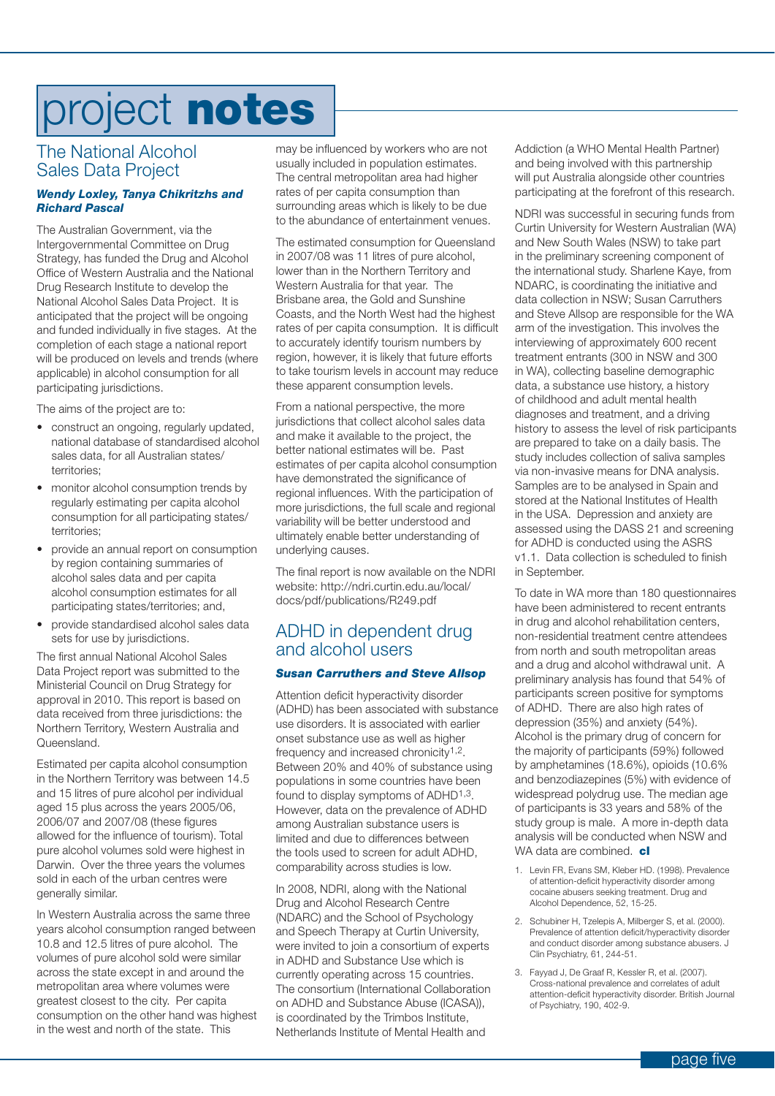## project **notes**

#### The National Alcohol Sales Data Project

#### *Wendy Loxley, Tanya Chikritzhs and Richard Pascal*

The Australian Government, via the Intergovernmental Committee on Drug Strategy, has funded the Drug and Alcohol Office of Western Australia and the National Drug Research Institute to develop the National Alcohol Sales Data Project. It is anticipated that the project will be ongoing and funded individually in five stages. At the completion of each stage a national report will be produced on levels and trends (where applicable) in alcohol consumption for all participating jurisdictions.

The aims of the project are to:

- construct an ongoing, regularly updated, national database of standardised alcohol sales data, for all Australian states/ territories;
- monitor alcohol consumption trends by regularly estimating per capita alcohol consumption for all participating states/ territories;
- provide an annual report on consumption by region containing summaries of alcohol sales data and per capita alcohol consumption estimates for all participating states/territories; and,
- provide standardised alcohol sales data sets for use by jurisdictions.

The first annual National Alcohol Sales Data Project report was submitted to the Ministerial Council on Drug Strategy for approval in 2010. This report is based on data received from three jurisdictions: the Northern Territory, Western Australia and Queensland.

Estimated per capita alcohol consumption in the Northern Territory was between 14.5 and 15 litres of pure alcohol per individual aged 15 plus across the years 2005/06, 2006/07 and 2007/08 (these figures allowed for the influence of tourism). Total pure alcohol volumes sold were highest in Darwin. Over the three years the volumes sold in each of the urban centres were generally similar.

In Western Australia across the same three years alcohol consumption ranged between 10.8 and 12.5 litres of pure alcohol. The volumes of pure alcohol sold were similar across the state except in and around the metropolitan area where volumes were greatest closest to the city. Per capita consumption on the other hand was highest in the west and north of the state. This

may be influenced by workers who are not usually included in population estimates. The central metropolitan area had higher rates of per capita consumption than surrounding areas which is likely to be due to the abundance of entertainment venues.

The estimated consumption for Queensland in 2007/08 was 11 litres of pure alcohol, lower than in the Northern Territory and Western Australia for that year. The Brisbane area, the Gold and Sunshine Coasts, and the North West had the highest rates of per capita consumption. It is difficult to accurately identify tourism numbers by region, however, it is likely that future efforts to take tourism levels in account may reduce these apparent consumption levels.

From a national perspective, the more jurisdictions that collect alcohol sales data and make it available to the project, the better national estimates will be. Past estimates of per capita alcohol consumption have demonstrated the significance of regional influences. With the participation of more jurisdictions, the full scale and regional variability will be better understood and ultimately enable better understanding of underlying causes.

The final report is now available on the NDRI [website: http://ndri.curtin.edu.au/local/](http://ndri.curtin.edu.au/local/docs/pdf/publications/R249.pdf) docs/pdf/publications/R249.pdf

#### ADHD in dependent drug and alcohol users

#### *Susan Carruthers and Steve Allsop*

Attention deficit hyperactivity disorder (ADHD) has been associated with substance use disorders. It is associated with earlier onset substance use as well as higher frequency and increased chronicity<sup>1,2</sup>. Between 20% and 40% of substance using populations in some countries have been found to display symptoms of ADHD1,3. However, data on the prevalence of ADHD among Australian substance users is limited and due to differences between the tools used to screen for adult ADHD, comparability across studies is low.

In 2008, NDRI, along with the National Drug and Alcohol Research Centre (NDARC) and the School of Psychology and Speech Therapy at Curtin University, were invited to join a consortium of experts in ADHD and Substance Use which is currently operating across 15 countries. The consortium (International Collaboration on ADHD and Substance Abuse (ICASA)), is coordinated by the Trimbos Institute, Netherlands Institute of Mental Health and

Addiction (a WHO Mental Health Partner) and being involved with this partnership will put Australia alongside other countries participating at the forefront of this research.

NDRI was successful in securing funds from Curtin University for Western Australian (WA) and New South Wales (NSW) to take part in the preliminary screening component of the international study. Sharlene Kaye, from NDARC, is coordinating the initiative and data collection in NSW; Susan Carruthers and Steve Allsop are responsible for the WA arm of the investigation. This involves the interviewing of approximately 600 recent treatment entrants (300 in NSW and 300 in WA), collecting baseline demographic data, a substance use history, a history of childhood and adult mental health diagnoses and treatment, and a driving history to assess the level of risk participants are prepared to take on a daily basis. The study includes collection of saliva samples via non-invasive means for DNA analysis. Samples are to be analysed in Spain and stored at the National Institutes of Health in the USA. Depression and anxiety are assessed using the DASS 21 and screening for ADHD is conducted using the ASRS v1.1. Data collection is scheduled to finish in September.

To date in WA more than 180 questionnaires have been administered to recent entrants in drug and alcohol rehabilitation centers, non-residential treatment centre attendees from north and south metropolitan areas and a drug and alcohol withdrawal unit. A preliminary analysis has found that 54% of participants screen positive for symptoms of ADHD. There are also high rates of depression (35%) and anxiety (54%). Alcohol is the primary drug of concern for the majority of participants (59%) followed by amphetamines (18.6%), opioids (10.6% and benzodiazepines (5%) with evidence of widespread polydrug use. The median age of participants is 33 years and 58% of the study group is male. A more in-depth data analysis will be conducted when NSW and WA data are combined. **cl**

- 1. Levin FR, Evans SM, Kleber HD. (1998). Prevalence of attention-deficit hyperactivity disorder among cocaine abusers seeking treatment. Drug and Alcohol Dependence, 52, 15-25.
- 2. Schubiner H, Tzelepis A, Milberger S, et al. (2000). Prevalence of attention deficit/hyperactivity disorder and conduct disorder among substance abusers. J Clin Psychiatry, 61, 244-51.
- 3. Fayyad J, De Graaf R, Kessler R, et al. (2007). Cross-national prevalence and correlates of adult attention-deficit hyperactivity disorder. British Journal of Psychiatry, 190, 402-9.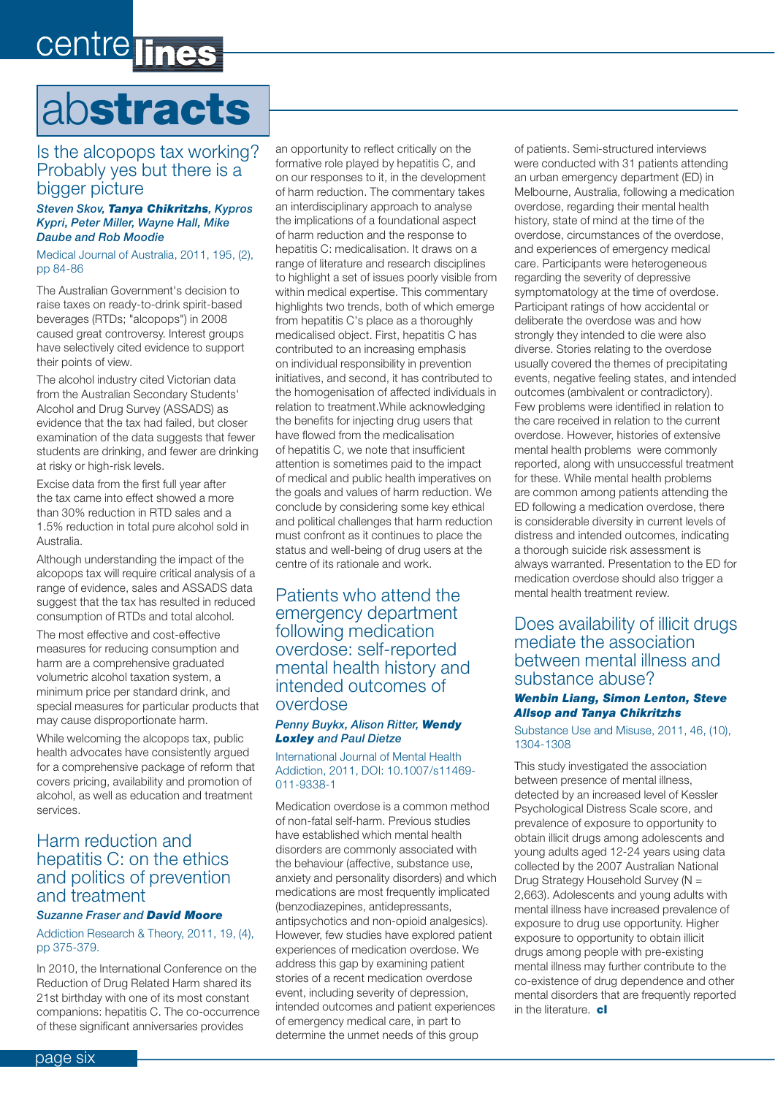### centre lines

### ab**stracts**

#### Is the alcopops tax working? Probably yes but there is a bigger picture

#### *Steven Skov, Tanya Chikritzhs, Kypros Kypri, Peter Miller, Wayne Hall, Mike Daube and Rob Moodie*

Medical Journal of Australia, 2011, 195, (2), pp 84-86

The Australian Government's decision to raise taxes on ready-to-drink spirit-based beverages (RTDs; "alcopops") in 2008 caused great controversy. Interest groups have selectively cited evidence to support their points of view.

The alcohol industry cited Victorian data from the Australian Secondary Students' Alcohol and Drug Survey (ASSADS) as evidence that the tax had failed, but closer examination of the data suggests that fewer students are drinking, and fewer are drinking at risky or high-risk levels.

Excise data from the first full year after the tax came into effect showed a more than 30% reduction in RTD sales and a 1.5% reduction in total pure alcohol sold in Australia.

Although understanding the impact of the alcopops tax will require critical analysis of a range of evidence, sales and ASSADS data suggest that the tax has resulted in reduced consumption of RTDs and total alcohol.

The most effective and cost-effective measures for reducing consumption and harm are a comprehensive graduated volumetric alcohol taxation system, a minimum price per standard drink, and special measures for particular products that may cause disproportionate harm.

While welcoming the alcopops tax, public health advocates have consistently argued for a comprehensive package of reform that covers pricing, availability and promotion of alcohol, as well as education and treatment services.

#### Harm reduction and hepatitis C: on the ethics and politics of prevention and treatment

#### *Suzanne Fraser and David Moore*

Addiction Research & Theory, 2011, 19, (4), pp 375-379.

In 2010, the International Conference on the Reduction of Drug Related Harm shared its 21st birthday with one of its most constant companions: hepatitis C. The co-occurrence of these significant anniversaries provides

an opportunity to reflect critically on the formative role played by hepatitis C, and on our responses to it, in the development of harm reduction. The commentary takes an interdisciplinary approach to analyse the implications of a foundational aspect of harm reduction and the response to hepatitis C: medicalisation. It draws on a range of literature and research disciplines to highlight a set of issues poorly visible from within medical expertise. This commentary highlights two trends, both of which emerge from hepatitis C's place as a thoroughly medicalised object. First, hepatitis C has contributed to an increasing emphasis on individual responsibility in prevention initiatives, and second, it has contributed to the homogenisation of affected individuals in relation to treatment.While acknowledging the benefits for injecting drug users that have flowed from the medicalisation of hepatitis C, we note that insufficient attention is sometimes paid to the impact of medical and public health imperatives on the goals and values of harm reduction. We conclude by considering some key ethical and political challenges that harm reduction must confront as it continues to place the status and well-being of drug users at the centre of its rationale and work.

#### Patients who attend the emergency department following medication overdose: self-reported mental health history and intended outcomes of overdose

#### *Penny Buykx, Alison Ritter, Wendy Loxley and Paul Dietze*

International Journal of Mental Health Addiction, 2011, DOI: 10.1007/s11469- 011-9338-1

Medication overdose is a common method of non-fatal self-harm. Previous studies have established which mental health disorders are commonly associated with the behaviour (affective, substance use, anxiety and personality disorders) and which medications are most frequently implicated (benzodiazepines, antidepressants, antipsychotics and non-opioid analgesics). However, few studies have explored patient experiences of medication overdose. We address this gap by examining patient stories of a recent medication overdose event, including severity of depression, intended outcomes and patient experiences of emergency medical care, in part to determine the unmet needs of this group

of patients. Semi-structured interviews were conducted with 31 patients attending an urban emergency department (ED) in Melbourne, Australia, following a medication overdose, regarding their mental health history, state of mind at the time of the overdose, circumstances of the overdose, and experiences of emergency medical care. Participants were heterogeneous regarding the severity of depressive symptomatology at the time of overdose. Participant ratings of how accidental or deliberate the overdose was and how strongly they intended to die were also diverse. Stories relating to the overdose usually covered the themes of precipitating events, negative feeling states, and intended outcomes (ambivalent or contradictory). Few problems were identified in relation to the care received in relation to the current overdose. However, histories of extensive mental health problems were commonly reported, along with unsuccessful treatment for these. While mental health problems are common among patients attending the ED following a medication overdose, there is considerable diversity in current levels of distress and intended outcomes, indicating a thorough suicide risk assessment is always warranted. Presentation to the ED for medication overdose should also trigger a mental health treatment review.

#### Does availability of illicit drugs mediate the association between mental illness and substance abuse?

#### *Wenbin Liang, Simon Lenton, Steve Allsop and Tanya Chikritzhs*

Substance Use and Misuse, 2011, 46, (10), 1304-1308

This study investigated the association between presence of mental illness, detected by an increased level of Kessler Psychological Distress Scale score, and prevalence of exposure to opportunity to obtain illicit drugs among adolescents and young adults aged 12-24 years using data collected by the 2007 Australian National Drug Strategy Household Survey (N = 2,663). Adolescents and young adults with mental illness have increased prevalence of exposure to drug use opportunity. Higher exposure to opportunity to obtain illicit drugs among people with pre-existing mental illness may further contribute to the co-existence of drug dependence and other mental disorders that are frequently reported in the literature. **cl**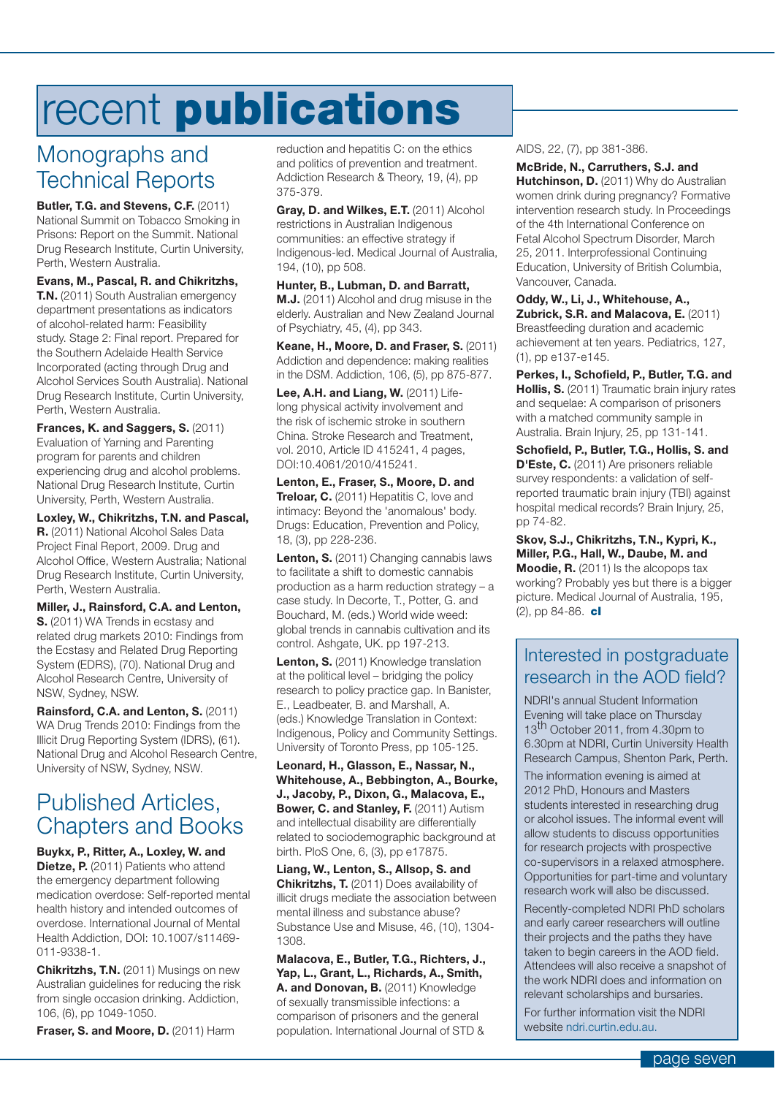### recent **publications**

### Monographs and Technical Reports

**Butler, T.G. and Stevens, C.F. (2011)** National Summit on Tobacco Smoking in Prisons: Report on the Summit. National Drug Research Institute, Curtin University, Perth, Western Australia.

**Evans, M., Pascal, R. and Chikritzhs, T.N.** (2011) South Australian emergency department presentations as indicators of alcohol-related harm: Feasibility study. Stage 2: Final report. Prepared for the Southern Adelaide Health Service Incorporated (acting through Drug and Alcohol Services South Australia). National Drug Research Institute, Curtin University, Perth, Western Australia.

**Frances, K. and Saggers, S.** (2011) Evaluation of Yarning and Parenting program for parents and children experiencing drug and alcohol problems. National Drug Research Institute, Curtin University, Perth, Western Australia.

**Loxley, W., Chikritzhs, T.N. and Pascal, R.** (2011) National Alcohol Sales Data Project Final Report, 2009. Drug and Alcohol Office, Western Australia; National Drug Research Institute, Curtin University, Perth, Western Australia.

**Miller, J., Rainsford, C.A. and Lenton, S.** (2011) WA Trends in ecstasy and related drug markets 2010: Findings from the Ecstasy and Related Drug Reporting System (EDRS), (70). National Drug and Alcohol Research Centre, University of NSW, Sydney, NSW.

**Rainsford, C.A. and Lenton, S.** (2011) WA Drug Trends 2010: Findings from the Illicit Drug Reporting System (IDRS), (61). National Drug and Alcohol Research Centre, University of NSW, Sydney, NSW.

#### Published Articles, Chapters and Books

**Buykx, P., Ritter, A., Loxley, W. and Dietze, P.** (2011) Patients who attend the emergency department following medication overdose: Self-reported mental health history and intended outcomes of overdose. International Journal of Mental Health Addiction, DOI: 10.1007/s11469- 011-9338-1.

**Chikritzhs, T.N.** (2011) Musings on new Australian guidelines for reducing the risk from single occasion drinking. Addiction, 106, (6), pp 1049-1050.

**Fraser, S. and Moore, D.** (2011) Harm

reduction and hepatitis C: on the ethics and politics of prevention and treatment. Addiction Research & Theory, 19, (4), pp 375-379.

**Gray, D. and Wilkes, E.T.** (2011) Alcohol restrictions in Australian Indigenous communities: an effective strategy if Indigenous-led. Medical Journal of Australia, 194, (10), pp 508.

**Hunter, B., Lubman, D. and Barratt, M.J.** (2011) Alcohol and drug misuse in the elderly. Australian and New Zealand Journal of Psychiatry, 45, (4), pp 343.

**Keane, H., Moore, D. and Fraser, S.** (2011) Addiction and dependence: making realities in the DSM. Addiction, 106, (5), pp 875-877.

**Lee, A.H. and Liang, W.** (2011) Lifelong physical activity involvement and the risk of ischemic stroke in southern China. Stroke Research and Treatment, vol. 2010, Article ID 415241, 4 pages, DOI:10.4061/2010/415241.

**Lenton, E., Fraser, S., Moore, D. and Treloar, C.** (2011) Hepatitis C. love and intimacy: Beyond the 'anomalous' body. Drugs: Education, Prevention and Policy, 18, (3), pp 228-236.

Lenton, S. (2011) Changing cannabis laws to facilitate a shift to domestic cannabis production as a harm reduction strategy – a case study. In Decorte, T., Potter, G. and Bouchard, M. (eds.) World wide weed: global trends in cannabis cultivation and its control. Ashgate, UK. pp 197-213.

Lenton, S. (2011) Knowledge translation at the political level – bridging the policy research to policy practice gap. In Banister, E., Leadbeater, B. and Marshall, A. (eds.) Knowledge Translation in Context: Indigenous, Policy and Community Settings. University of Toronto Press, pp 105-125.

**Leonard, H., Glasson, E., Nassar, N., Whitehouse, A., Bebbington, A., Bourke, J., Jacoby, P., Dixon, G., Malacova, E., Bower, C. and Stanley, F.** (2011) Autism and intellectual disability are differentially related to sociodemographic background at birth. PloS One, 6, (3), pp e17875.

**Liang, W., Lenton, S., Allsop, S. and Chikritzhs, T.** (2011) Does availability of illicit drugs mediate the association between mental illness and substance abuse? Substance Use and Misuse, 46, (10), 1304- 1308.

**Malacova, E., Butler, T.G., Richters, J., Yap, L., Grant, L., Richards, A., Smith,**  A. and Donovan, B. (2011) Knowledge of sexually transmissible infections: a comparison of prisoners and the general population. International Journal of STD &

AIDS, 22, (7), pp 381-386.

**McBride, N., Carruthers, S.J. and Hutchinson, D.** (2011) Why do Australian women drink during pregnancy? Formative intervention research study. In Proceedings of the 4th International Conference on Fetal Alcohol Spectrum Disorder, March 25, 2011. Interprofessional Continuing Education, University of British Columbia, Vancouver, Canada.

**Oddy, W., Li, J., Whitehouse, A., Zubrick, S.R. and Malacova, E.** (2011) Breastfeeding duration and academic achievement at ten years. Pediatrics, 127, (1), pp e137-e145.

**Perkes, I., Schofield, P., Butler, T.G. and Hollis, S.** (2011) Traumatic brain injury rates and sequelae: A comparison of prisoners with a matched community sample in Australia. Brain Injury, 25, pp 131-141.

**Schofield, P., Butler, T.G., Hollis, S. and D'Este, C.** (2011) Are prisoners reliable survey respondents: a validation of selfreported traumatic brain injury (TBI) against hospital medical records? Brain Injury, 25, pp 74-82.

**Skov, S.J., Chikritzhs, T.N., Kypri, K., Miller, P.G., Hall, W., Daube, M. and Moodie, R.** (2011) Is the alcopops tax working? Probably yes but there is a bigger picture. Medical Journal of Australia, 195, (2), pp 84-86. **cl**

#### Interested in postgraduate research in the AOD field?

NDRI's annual Student Information Evening will take place on Thursday 13<sup>th</sup> October 2011, from 4.30pm to 6.30pm at NDRI, Curtin University Health Research Campus, Shenton Park, Perth. The information evening is aimed at 2012 PhD, Honours and Masters students interested in researching drug or alcohol issues. The informal event will allow students to discuss opportunities for research projects with prospective co-supervisors in a relaxed atmosphere. Opportunities for part-time and voluntary

Recently-completed NDRI PhD scholars and early career researchers will outline their projects and the paths they have taken to begin careers in the AOD field. Attendees will also receive a snapshot of the work NDRI does and information on relevant scholarships and bursaries.

research work will also be discussed.

For further information visit the NDRI website ndri.curtin.edu.au.